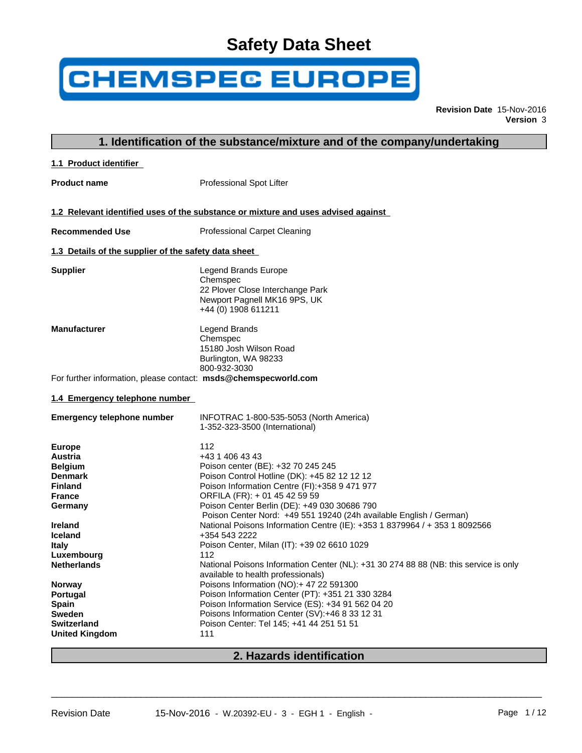# **Safety Data Sheet**

# **CHEMSPEC EUROPE**

**Revision Date** 15-Nov-2016 **Version** 3

|                                                                 | 1. Identification of the substance/mixture and of the company/undertaking            |
|-----------------------------------------------------------------|--------------------------------------------------------------------------------------|
| 1.1 Product identifier                                          |                                                                                      |
| <b>Product name</b>                                             | Professional Spot Lifter                                                             |
|                                                                 |                                                                                      |
|                                                                 | 1.2 Relevant identified uses of the substance or mixture and uses advised against    |
| <b>Recommended Use</b>                                          | <b>Professional Carpet Cleaning</b>                                                  |
| 1.3 Details of the supplier of the safety data sheet            |                                                                                      |
| <b>Supplier</b>                                                 | Legend Brands Europe                                                                 |
|                                                                 | Chemspec                                                                             |
|                                                                 | 22 Plover Close Interchange Park                                                     |
|                                                                 | Newport Pagnell MK16 9PS, UK                                                         |
|                                                                 | +44 (0) 1908 611211                                                                  |
| <b>Manufacturer</b>                                             | Legend Brands                                                                        |
|                                                                 | Chemspec                                                                             |
|                                                                 | 15180 Josh Wilson Road                                                               |
|                                                                 | Burlington, WA 98233                                                                 |
|                                                                 | 800-932-3030                                                                         |
| For further information, please contact: msds@chemspecworld.com |                                                                                      |
| 1.4 Emergency telephone number                                  |                                                                                      |
| <b>Emergency telephone number</b>                               | INFOTRAC 1-800-535-5053 (North America)                                              |
|                                                                 | 1-352-323-3500 (International)                                                       |
|                                                                 |                                                                                      |
| <b>Europe</b>                                                   | 112<br>+43 1 406 43 43                                                               |
| Austria                                                         | Poison center (BE): +32 70 245 245                                                   |
| <b>Belgium</b><br><b>Denmark</b>                                | Poison Control Hotline (DK): +45 82 12 12 12                                         |
| <b>Finland</b>                                                  | Poison Information Centre (FI):+358 9 471 977                                        |
| <b>France</b>                                                   | ORFILA (FR): + 01 45 42 59 59                                                        |
| Germany                                                         | Poison Center Berlin (DE): +49 030 30686 790                                         |
|                                                                 | Poison Center Nord: +49 551 19240 (24h available English / German)                   |
| <b>Ireland</b>                                                  | National Poisons Information Centre (IE): +353 1 8379964 / + 353 1 8092566           |
| Iceland                                                         | +354 543 2222                                                                        |
| <b>Italy</b>                                                    | Poison Center, Milan (IT): +39 02 6610 1029                                          |
| Luxembourg                                                      | 112                                                                                  |
| <b>Netherlands</b>                                              | National Poisons Information Center (NL): +31 30 274 88 88 (NB: this service is only |
| <b>Norway</b>                                                   | available to health professionals)<br>Poisons Information (NO):+ 47 22 591300        |
| Portugal                                                        | Poison Information Center (PT): +351 21 330 3284                                     |
| <b>Spain</b>                                                    | Poison Information Service (ES): +34 91 562 04 20                                    |
| Sweden                                                          | Poisons Information Center (SV):+46 8 33 12 31                                       |
| Switzerland                                                     | Poison Center: Tel 145; +41 44 251 51 51                                             |
| <b>United Kingdom</b>                                           | 111                                                                                  |
|                                                                 |                                                                                      |

## **2. Hazards identification**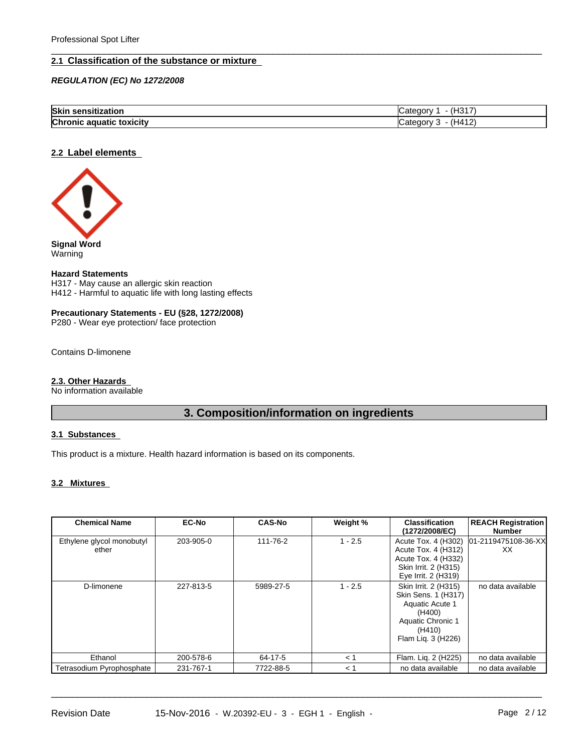#### **2.1 Classification of the substance or mixture**

*REGULATION (EC) No 1272/2008*

| Skin<br>sensitization                 | 110<br>$\overline{\phantom{a}}$<br>ਾ⊓ు<br>٥t۵<br>⊸u∩rv ≃<br>.771F |
|---------------------------------------|-------------------------------------------------------------------|
| <b>Chronic</b><br>toxicity<br>aquatic | (HA12)<br>$-1$<br>$\sim$ 10PV $\sim$<br>ے ا<br>—∪a≔               |

 $\overline{\phantom{a}}$  ,  $\overline{\phantom{a}}$  ,  $\overline{\phantom{a}}$  ,  $\overline{\phantom{a}}$  ,  $\overline{\phantom{a}}$  ,  $\overline{\phantom{a}}$  ,  $\overline{\phantom{a}}$  ,  $\overline{\phantom{a}}$  ,  $\overline{\phantom{a}}$  ,  $\overline{\phantom{a}}$  ,  $\overline{\phantom{a}}$  ,  $\overline{\phantom{a}}$  ,  $\overline{\phantom{a}}$  ,  $\overline{\phantom{a}}$  ,  $\overline{\phantom{a}}$  ,  $\overline{\phantom{a}}$ 

#### **2.2 Label elements**



Warning

#### **Hazard Statements**

H317 - May cause an allergic skin reaction H412 - Harmful to aquatic life with long lasting effects

#### **Precautionary Statements - EU (§28, 1272/2008)**

P280 - Wear eye protection/ face protection

Contains D-limonene

#### **2.3. Other Hazards**

No information available

## **3. Composition/information on ingredients**

#### **3.1 Substances**

This product is a mixture. Health hazard information is based on its components.

#### **3.2 Mixtures**

| <b>Chemical Name</b>               | <b>EC-No</b> | <b>CAS-No</b> | Weight %  | <b>Classification</b><br>(1272/2008/EC)                                                                                              | <b>REACH Registration</b><br>Number |
|------------------------------------|--------------|---------------|-----------|--------------------------------------------------------------------------------------------------------------------------------------|-------------------------------------|
| Ethylene glycol monobutyl<br>ether | 203-905-0    | 111-76-2      | $1 - 2.5$ | Acute Tox. 4 (H302)<br>Acute Tox. 4 (H312)<br>Acute Tox. 4 (H332)<br>Skin Irrit. 2 (H315)<br>Eye Irrit. 2 (H319)                     | 01-2119475108-36-XX<br>XX           |
| D-limonene                         | 227-813-5    | 5989-27-5     | $1 - 2.5$ | Skin Irrit. 2 (H315)<br>Skin Sens. 1 (H317)<br><b>Aquatic Acute 1</b><br>(H400)<br>Aquatic Chronic 1<br>(H410)<br>Flam Liq. 3 (H226) | no data available                   |
| Ethanol                            | 200-578-6    | 64-17-5       | $\leq 1$  | Flam. Liq. 2 (H225)                                                                                                                  | no data available                   |
| Tetrasodium Pyrophosphate          | 231-767-1    | 7722-88-5     | < 1       | no data available                                                                                                                    | no data available                   |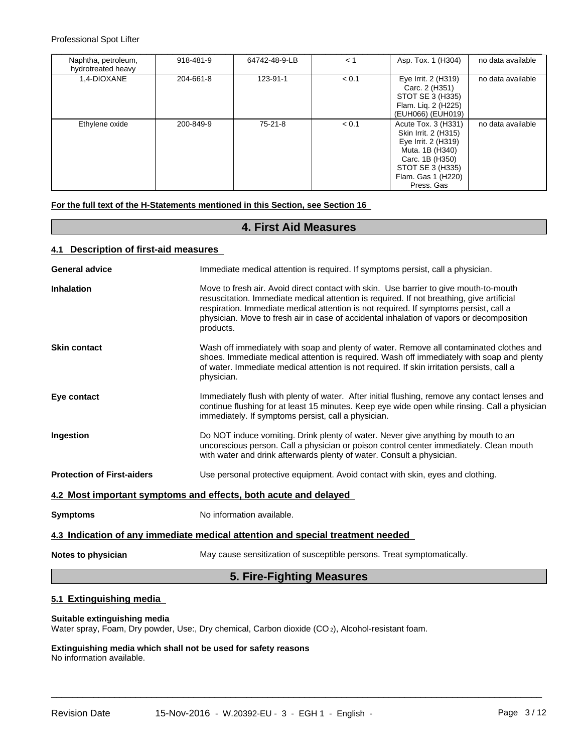Professional Spot Lifter

| Naphtha, petroleum,<br>hydrotreated heavy | 918-481-9 | 64742-48-9-LB | < 1   | Asp. Tox. 1 (H304)                                                                                                                                               | no data available |
|-------------------------------------------|-----------|---------------|-------|------------------------------------------------------------------------------------------------------------------------------------------------------------------|-------------------|
| 1,4-DIOXANE                               | 204-661-8 | 123-91-1      | < 0.1 | Eye Irrit. 2 (H319)<br>Carc. 2 (H351)<br>STOT SE 3 (H335)<br>Flam. Liq. 2 (H225)<br>(EUH066) (EUH019)                                                            | no data available |
| Ethylene oxide                            | 200-849-9 | $75-21-8$     | < 0.1 | Acute Tox. 3 (H331)<br>Skin Irrit. 2 (H315)<br>Eye Irrit. 2 (H319)<br>Muta. 1B (H340)<br>Carc. 1B (H350)<br>STOT SE 3 (H335)<br>Flam. Gas 1 (H220)<br>Press, Gas | no data available |

**For the full text of the H-Statements mentioned in this Section, see Section 16** 

## **4. First Aid Measures**

#### **4.1 Description of first-aid measures**

| <b>General advice</b>             | Immediate medical attention is required. If symptoms persist, call a physician.                                                                                                                                                                                                                                                                                                      |
|-----------------------------------|--------------------------------------------------------------------------------------------------------------------------------------------------------------------------------------------------------------------------------------------------------------------------------------------------------------------------------------------------------------------------------------|
| <b>Inhalation</b>                 | Move to fresh air. Avoid direct contact with skin. Use barrier to give mouth-to-mouth<br>resuscitation. Immediate medical attention is required. If not breathing, give artificial<br>respiration. Immediate medical attention is not required. If symptoms persist, call a<br>physician. Move to fresh air in case of accidental inhalation of vapors or decomposition<br>products. |
| <b>Skin contact</b>               | Wash off immediately with soap and plenty of water. Remove all contaminated clothes and<br>shoes. Immediate medical attention is required. Wash off immediately with soap and plenty<br>of water. Immediate medical attention is not required. If skin irritation persists, call a<br>physician.                                                                                     |
| Eye contact                       | Immediately flush with plenty of water. After initial flushing, remove any contact lenses and<br>continue flushing for at least 15 minutes. Keep eye wide open while rinsing. Call a physician<br>immediately. If symptoms persist, call a physician.                                                                                                                                |
| <b>Ingestion</b>                  | Do NOT induce vomiting. Drink plenty of water. Never give anything by mouth to an<br>unconscious person. Call a physician or poison control center immediately. Clean mouth<br>with water and drink afterwards plenty of water. Consult a physician.                                                                                                                                 |
| <b>Protection of First-aiders</b> | Use personal protective equipment. Avoid contact with skin, eyes and clothing.                                                                                                                                                                                                                                                                                                       |
|                                   | 4.2 Most important symptoms and effects, both acute and delayed                                                                                                                                                                                                                                                                                                                      |
| <b>Symptoms</b>                   | No information available.                                                                                                                                                                                                                                                                                                                                                            |
|                                   | 4.3 Indication of any immediate medical attention and special treatment needed                                                                                                                                                                                                                                                                                                       |
| Notes to physician                | May cause sensitization of susceptible persons. Treat symptomatically.                                                                                                                                                                                                                                                                                                               |
|                                   | 5. Fire-Fighting Measures                                                                                                                                                                                                                                                                                                                                                            |

 $\overline{\phantom{a}}$  ,  $\overline{\phantom{a}}$  ,  $\overline{\phantom{a}}$  ,  $\overline{\phantom{a}}$  ,  $\overline{\phantom{a}}$  ,  $\overline{\phantom{a}}$  ,  $\overline{\phantom{a}}$  ,  $\overline{\phantom{a}}$  ,  $\overline{\phantom{a}}$  ,  $\overline{\phantom{a}}$  ,  $\overline{\phantom{a}}$  ,  $\overline{\phantom{a}}$  ,  $\overline{\phantom{a}}$  ,  $\overline{\phantom{a}}$  ,  $\overline{\phantom{a}}$  ,  $\overline{\phantom{a}}$ 

#### **5.1 Extinguishing media**

#### **Suitable extinguishing media**

Water spray, Foam, Dry powder, Use:, Dry chemical, Carbon dioxide (CO<sub>2</sub>), Alcohol-resistant foam.

#### **Extinguishing media which shall not be used for safety reasons** No information available.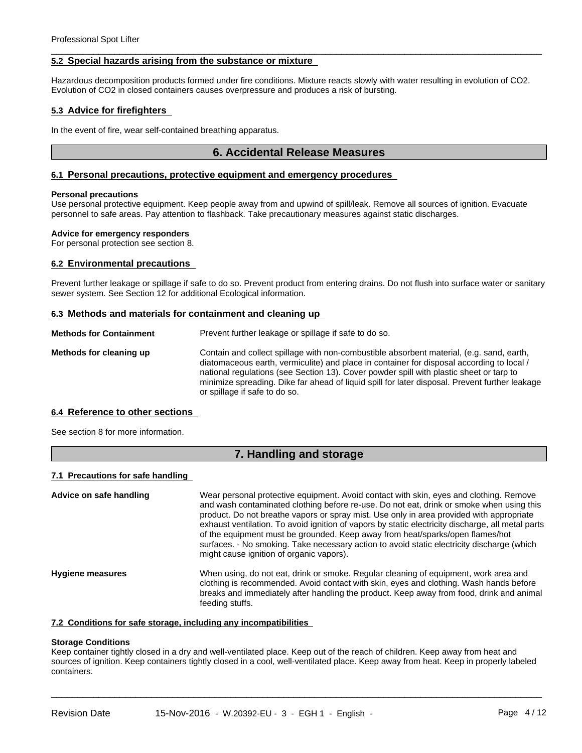#### **5.2 Special hazards arising from the substance or mixture**

Hazardous decomposition products formed under fire conditions. Mixture reacts slowly with water resulting in evolution of CO2. Evolution of CO2 in closed containers causes overpressure and produces a risk of bursting.

 $\overline{\phantom{a}}$  ,  $\overline{\phantom{a}}$  ,  $\overline{\phantom{a}}$  ,  $\overline{\phantom{a}}$  ,  $\overline{\phantom{a}}$  ,  $\overline{\phantom{a}}$  ,  $\overline{\phantom{a}}$  ,  $\overline{\phantom{a}}$  ,  $\overline{\phantom{a}}$  ,  $\overline{\phantom{a}}$  ,  $\overline{\phantom{a}}$  ,  $\overline{\phantom{a}}$  ,  $\overline{\phantom{a}}$  ,  $\overline{\phantom{a}}$  ,  $\overline{\phantom{a}}$  ,  $\overline{\phantom{a}}$ 

#### **5.3 Advice for firefighters**

In the event of fire, wear self-contained breathing apparatus.

#### **6. Accidental Release Measures**

#### **6.1 Personal precautions, protective equipment and emergency procedures**

#### **Personal precautions**

Use personal protective equipment. Keep people away from and upwind of spill/leak. Remove all sources of ignition. Evacuate personnel to safe areas. Pay attention to flashback. Take precautionary measures against static discharges.

#### **Advice for emergency responders**

For personal protection see section 8.

#### **6.2 Environmental precautions**

Prevent further leakage or spillage if safe to do so. Prevent product from entering drains. Do not flush into surface water or sanitary sewer system. See Section 12 for additional Ecological information.

#### **6.3 Methods and materials for containment and cleaning up**

| <b>Methods for Containment</b> | Prevent further leakage or spillage if safe to do so.                                                                                                                                                                                                                                                                                                                                                               |
|--------------------------------|---------------------------------------------------------------------------------------------------------------------------------------------------------------------------------------------------------------------------------------------------------------------------------------------------------------------------------------------------------------------------------------------------------------------|
| Methods for cleaning up        | Contain and collect spillage with non-combustible absorbent material, (e.g. sand, earth,<br>diatomaceous earth, vermiculite) and place in container for disposal according to local /<br>national regulations (see Section 13). Cover powder spill with plastic sheet or tarp to<br>minimize spreading. Dike far ahead of liquid spill for later disposal. Prevent further leakage<br>or spillage if safe to do so. |

#### **6.4 Reference to other sections**

See section 8 for more information.

#### **7. Handling and storage**

#### **7.1 Precautions for safe handling**

| Advice on safe handling | Wear personal protective equipment. Avoid contact with skin, eyes and clothing. Remove<br>and wash contaminated clothing before re-use. Do not eat, drink or smoke when using this<br>product. Do not breathe vapors or spray mist. Use only in area provided with appropriate<br>exhaust ventilation. To avoid ignition of vapors by static electricity discharge, all metal parts<br>of the equipment must be grounded. Keep away from heat/sparks/open flames/hot<br>surfaces. - No smoking. Take necessary action to avoid static electricity discharge (which<br>might cause ignition of organic vapors). |
|-------------------------|----------------------------------------------------------------------------------------------------------------------------------------------------------------------------------------------------------------------------------------------------------------------------------------------------------------------------------------------------------------------------------------------------------------------------------------------------------------------------------------------------------------------------------------------------------------------------------------------------------------|
| <b>Hygiene measures</b> | When using, do not eat, drink or smoke. Regular cleaning of equipment, work area and<br>clothing is recommended. Avoid contact with skin, eyes and clothing. Wash hands before<br>breaks and immediately after handling the product. Keep away from food, drink and animal<br>feeding stuffs.                                                                                                                                                                                                                                                                                                                  |

#### **7.2 Conditions for safe storage, including any incompatibilities**

#### **Storage Conditions**

Keep container tightly closed in a dry and well-ventilated place. Keep out of the reach of children. Keep away from heat and sources of ignition. Keep containers tightly closed in a cool, well-ventilated place. Keep away from heat. Keep in properly labeled containers.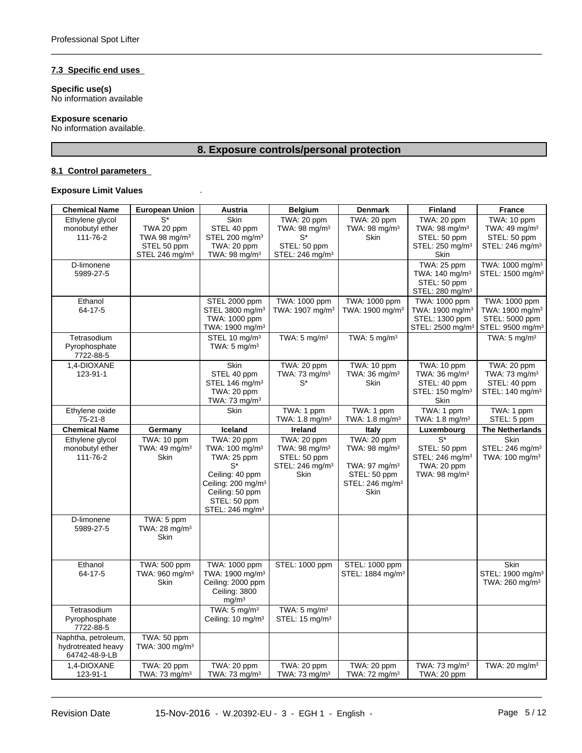#### **7.3 Specific end uses**

**Specific use(s)** No information available

#### **Exposure scenario**

No information available.

## **8. Exposure controls/personal protection**

 $\overline{\phantom{a}}$  ,  $\overline{\phantom{a}}$  ,  $\overline{\phantom{a}}$  ,  $\overline{\phantom{a}}$  ,  $\overline{\phantom{a}}$  ,  $\overline{\phantom{a}}$  ,  $\overline{\phantom{a}}$  ,  $\overline{\phantom{a}}$  ,  $\overline{\phantom{a}}$  ,  $\overline{\phantom{a}}$  ,  $\overline{\phantom{a}}$  ,  $\overline{\phantom{a}}$  ,  $\overline{\phantom{a}}$  ,  $\overline{\phantom{a}}$  ,  $\overline{\phantom{a}}$  ,  $\overline{\phantom{a}}$ 

#### **8.1 Control parameters**

#### **Exposure Limit Values** .

| <b>Chemical Name</b>                                       | <b>European Union</b>                                                                         | Austria                                                                                                                                                                                  | <b>Belgium</b>                                                                                  | <b>Denmark</b>                                                                                                                     | <b>Finland</b>                                                                                  | <b>France</b>                                                                                  |
|------------------------------------------------------------|-----------------------------------------------------------------------------------------------|------------------------------------------------------------------------------------------------------------------------------------------------------------------------------------------|-------------------------------------------------------------------------------------------------|------------------------------------------------------------------------------------------------------------------------------------|-------------------------------------------------------------------------------------------------|------------------------------------------------------------------------------------------------|
| Ethylene glycol<br>monobutyl ether<br>111-76-2             | $\overline{S^*}$<br>TWA 20 ppm<br>TWA 98 $mg/m3$<br>STEL 50 ppm<br>STEL 246 mg/m <sup>3</sup> | <b>Skin</b><br>STEL 40 ppm<br>STEL 200 mg/m <sup>3</sup><br>TWA: 20 ppm<br>TWA: 98 mg/m $3$                                                                                              | TWA: 20 ppm<br>TWA: 98 $mg/m3$<br>STEL: 50 ppm<br>STEL: 246 mg/m <sup>3</sup>                   | TWA: 20 ppm<br>TWA: 98 mg/m <sup>3</sup><br><b>Skin</b>                                                                            | TWA: 20 ppm<br>TWA: 98 mg/m <sup>3</sup><br>STEL: 50 ppm<br>STEL: 250 mg/m <sup>3</sup><br>Skin | TWA: 10 ppm<br>TWA: 49 mg/m <sup>3</sup><br>STEL: 50 ppm<br>STEL: 246 mg/m <sup>3</sup>        |
| D-limonene<br>5989-27-5                                    |                                                                                               |                                                                                                                                                                                          |                                                                                                 |                                                                                                                                    | TWA: 25 ppm<br>TWA: $140$ mg/m <sup>3</sup><br>STEL: 50 ppm<br>STEL: 280 mg/m <sup>3</sup>      | TWA: 1000 mg/m <sup>3</sup><br>STEL: 1500 mg/m <sup>3</sup>                                    |
| Ethanol<br>64-17-5                                         |                                                                                               | STEL 2000 ppm<br>STEL 3800 mg/m <sup>3</sup><br>TWA: 1000 ppm<br>TWA: 1900 mg/m <sup>3</sup>                                                                                             | TWA: 1000 ppm<br>TWA: 1907 mg/m <sup>3</sup>                                                    | TWA: 1000 ppm<br>TWA: 1900 mg/m <sup>3</sup>                                                                                       | TWA: 1000 ppm<br>TWA: 1900 mg/m <sup>3</sup><br>STEL: 1300 ppm<br>STEL: 2500 mg/m <sup>3</sup>  | TWA: 1000 ppm<br>TWA: 1900 mg/m <sup>3</sup><br>STEL: 5000 ppm<br>STEL: 9500 mg/m <sup>3</sup> |
| Tetrasodium<br>Pyrophosphate<br>7722-88-5                  |                                                                                               | STEL 10 mg/m <sup>3</sup><br>TWA: $5 \text{ mg/m}^3$                                                                                                                                     | TWA: $5 \text{ mg/m}^3$                                                                         | TWA: $5 \text{ mg/m}^3$                                                                                                            |                                                                                                 | TWA: $5 \text{ mg/m}^3$                                                                        |
| 1,4-DIOXANE<br>123-91-1                                    |                                                                                               | Skin<br>STEL 40 ppm<br>STEL 146 mg/m <sup>3</sup><br>TWA: 20 ppm<br>TWA: $73 \text{ mg/m}^3$                                                                                             | TWA: 20 ppm<br>TWA: 73 mg/m <sup>3</sup><br>$S^*$                                               | TWA: 10 ppm<br>TWA: 36 mg/m <sup>3</sup><br>Skin                                                                                   | TWA: 10 ppm<br>TWA: $36 \text{ mg/m}^3$<br>STEL: 40 ppm<br>STEL: 150 mg/m <sup>3</sup><br>Skin  | TWA: 20 ppm<br>TWA: 73 mg/m <sup>3</sup><br>STEL: 40 ppm<br>STEL: 140 mg/m <sup>3</sup>        |
| Ethylene oxide<br>75-21-8                                  |                                                                                               | <b>Skin</b>                                                                                                                                                                              | TWA: 1 ppm<br>TWA: $1.8 \text{ mg/m}^3$                                                         | TWA: 1 ppm<br>TWA: $1.8 \text{ mg/m}^3$                                                                                            | TWA: 1 ppm<br>TWA: $1.8 \text{ mg/m}^3$                                                         | TWA: 1 ppm<br>STEL: 5 ppm                                                                      |
| <b>Chemical Name</b>                                       | Germany                                                                                       | Iceland                                                                                                                                                                                  | Ireland                                                                                         | <b>Italy</b>                                                                                                                       | Luxembourg                                                                                      | <b>The Netherlands</b>                                                                         |
| Ethylene glycol<br>monobutyl ether<br>111-76-2             | TWA: 10 ppm<br>TWA: 49 mg/m <sup>3</sup><br>Skin                                              | TWA: 20 ppm<br>TWA: 100 mg/m <sup>3</sup><br>TWA: 25 ppm<br>$S^*$<br>Ceiling: 40 ppm<br>Ceiling: 200 mg/m <sup>3</sup><br>Ceiling: 50 ppm<br>STEL: 50 ppm<br>STEL: 246 mg/m <sup>3</sup> | TWA: 20 ppm<br>TWA: 98 mg/m <sup>3</sup><br>STEL: 50 ppm<br>STEL: 246 mg/m <sup>3</sup><br>Skin | TWA: 20 ppm<br>TWA: $98 \text{ mg/m}^3$<br>TWA: 97 mg/m <sup>3</sup><br>STEL: 50 ppm<br>STEL: 246 mg/m <sup>3</sup><br><b>Skin</b> | $S^*$<br>STEL: 50 ppm<br>STEL: 246 mg/m <sup>3</sup><br>TWA: 20 ppm<br>TWA: 98 mg/m $3$         | <b>Skin</b><br>STEL: 246 mg/m <sup>3</sup><br>TWA: 100 mg/m <sup>3</sup>                       |
| D-limonene<br>5989-27-5                                    | TWA: 5 ppm<br>TWA: 28 mg/m <sup>3</sup><br><b>Skin</b>                                        |                                                                                                                                                                                          |                                                                                                 |                                                                                                                                    |                                                                                                 |                                                                                                |
| Ethanol<br>64-17-5                                         | <b>TWA: 500 ppm</b><br>TWA: 960 mg/m <sup>3</sup><br>Skin                                     | TWA: 1000 ppm<br>TWA: 1900 mg/m <sup>3</sup><br>Ceiling: 2000 ppm<br>Ceiling: 3800<br>mg/m <sup>3</sup>                                                                                  | STEL: 1000 ppm                                                                                  | STEL: 1000 ppm<br>STEL: 1884 mg/m <sup>3</sup>                                                                                     |                                                                                                 | <b>Skin</b><br>STEL: 1900 mg/m <sup>3</sup><br>TWA: 260 mg/m <sup>3</sup>                      |
| Tetrasodium<br>Pyrophosphate<br>7722-88-5                  |                                                                                               | TWA: $5 \text{ mg/m}^3$<br>Ceiling: 10 mg/m <sup>3</sup>                                                                                                                                 | TWA: $5 \text{ mg/m}^3$<br>STEL: 15 mg/m <sup>3</sup>                                           |                                                                                                                                    |                                                                                                 |                                                                                                |
| Naphtha, petroleum,<br>hydrotreated heavy<br>64742-48-9-LB | TWA: 50 ppm<br>TWA: $300 \text{ mg/m}^3$                                                      |                                                                                                                                                                                          |                                                                                                 |                                                                                                                                    |                                                                                                 |                                                                                                |
| 1,4-DIOXANE<br>123-91-1                                    | TWA: 20 ppm<br>TWA: 73 mg/m <sup>3</sup>                                                      | TWA: 20 ppm<br>TWA: 73 mg/m <sup>3</sup>                                                                                                                                                 | TWA: 20 ppm<br>TWA: 73 mg/m $3$                                                                 | TWA: 20 ppm<br>TWA: $72 \text{ mg/m}^3$                                                                                            | TWA: 73 mg/m <sup>3</sup><br>TWA: 20 ppm                                                        | TWA: 20 mg/m <sup>3</sup>                                                                      |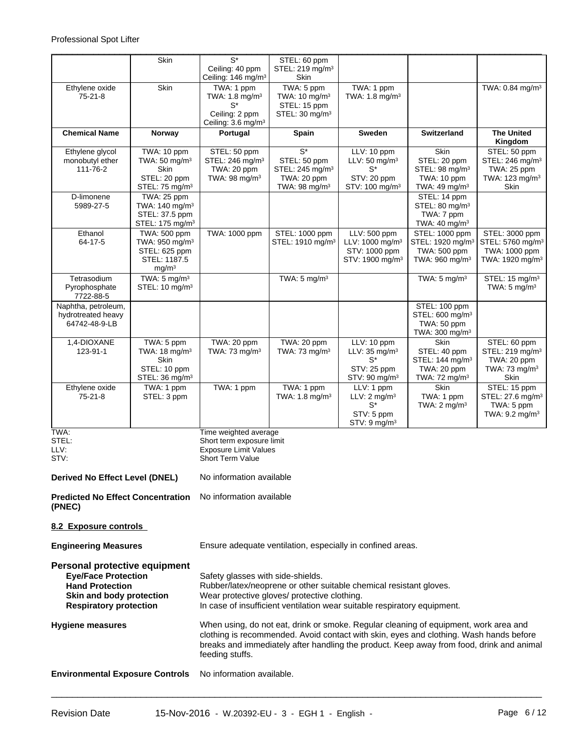|                                                                                                                                                    | Skin                                         | $S^*$<br>Ceiling: 40 ppm                                                                                                                                                                                                            | STEL: 60 ppm<br>STEL: 219 mg/m <sup>3</sup>            |                                         |                                                                                                                                                                                                                                                                            |                                             |  |
|----------------------------------------------------------------------------------------------------------------------------------------------------|----------------------------------------------|-------------------------------------------------------------------------------------------------------------------------------------------------------------------------------------------------------------------------------------|--------------------------------------------------------|-----------------------------------------|----------------------------------------------------------------------------------------------------------------------------------------------------------------------------------------------------------------------------------------------------------------------------|---------------------------------------------|--|
|                                                                                                                                                    |                                              | Ceiling: 146 mg/m <sup>3</sup>                                                                                                                                                                                                      | <b>Skin</b>                                            |                                         |                                                                                                                                                                                                                                                                            |                                             |  |
| Ethylene oxide<br>75-21-8                                                                                                                          | Skin                                         | TWA: 1 ppm<br>TWA: 1.8 mg/m <sup>3</sup><br>$S^*$                                                                                                                                                                                   | TWA: 5 ppm<br>TWA: $10 \text{ mg/m}^3$<br>STEL: 15 ppm | TWA: 1 ppm<br>TWA: $1.8 \text{ mg/m}^3$ |                                                                                                                                                                                                                                                                            | TWA: 0.84 mg/m <sup>3</sup>                 |  |
|                                                                                                                                                    |                                              | Ceiling: 2 ppm<br>Ceiling: 3.6 mg/m <sup>3</sup>                                                                                                                                                                                    | STEL: 30 mg/m <sup>3</sup>                             |                                         |                                                                                                                                                                                                                                                                            |                                             |  |
| <b>Chemical Name</b>                                                                                                                               | Norway                                       | Portugal                                                                                                                                                                                                                            | Spain                                                  | <b>Sweden</b>                           | <b>Switzerland</b>                                                                                                                                                                                                                                                         | <b>The United</b><br>Kingdom                |  |
| Ethylene glycol                                                                                                                                    | TWA: 10 ppm                                  | STEL: 50 ppm                                                                                                                                                                                                                        | $\overline{S^*}$                                       | LLV: 10 ppm                             | <b>Skin</b>                                                                                                                                                                                                                                                                | STEL: 50 ppm                                |  |
| monobutyl ether                                                                                                                                    | TWA: 50 mg/m <sup>3</sup>                    | STEL: 246 mg/m <sup>3</sup>                                                                                                                                                                                                         | STEL: 50 ppm                                           | LLV: $50 \text{ mg/m}^3$                | STEL: 20 ppm                                                                                                                                                                                                                                                               | STEL: 246 mg/m <sup>3</sup>                 |  |
| 111-76-2                                                                                                                                           | <b>Skin</b>                                  | TWA: 20 ppm                                                                                                                                                                                                                         | STEL: 245 mg/m <sup>3</sup>                            | $S^*$                                   | STEL: 98 mg/m <sup>3</sup>                                                                                                                                                                                                                                                 | TWA: 25 ppm                                 |  |
|                                                                                                                                                    | STEL: 20 ppm                                 | TWA: 98 mg/m <sup>3</sup>                                                                                                                                                                                                           | TWA: 20 ppm                                            | STV: 20 ppm                             | TWA: 10 ppm                                                                                                                                                                                                                                                                | TWA: 123 mg/m <sup>3</sup>                  |  |
|                                                                                                                                                    | STEL: 75 mg/m <sup>3</sup>                   |                                                                                                                                                                                                                                     | TWA: 98 mg/m $3$                                       | STV: 100 mg/m <sup>3</sup>              | TWA: 49 mg/m <sup>3</sup>                                                                                                                                                                                                                                                  | Skin                                        |  |
| D-limonene                                                                                                                                         | TWA: 25 ppm                                  |                                                                                                                                                                                                                                     |                                                        |                                         | STEL: 14 ppm                                                                                                                                                                                                                                                               |                                             |  |
| 5989-27-5                                                                                                                                          | TWA: 140 mg/m <sup>3</sup><br>STEL: 37.5 ppm |                                                                                                                                                                                                                                     |                                                        |                                         | STEL: 80 mg/m <sup>3</sup><br>TWA: 7 ppm                                                                                                                                                                                                                                   |                                             |  |
|                                                                                                                                                    | STEL: 175 mg/m <sup>3</sup>                  |                                                                                                                                                                                                                                     |                                                        |                                         | TWA: $40 \text{ mg/m}^3$                                                                                                                                                                                                                                                   |                                             |  |
| Ethanol                                                                                                                                            | TWA: 500 ppm                                 | TWA: 1000 ppm                                                                                                                                                                                                                       | STEL: 1000 ppm                                         | LLV: 500 ppm                            | STEL: 1000 ppm                                                                                                                                                                                                                                                             | STEL: 3000 ppm                              |  |
| 64-17-5                                                                                                                                            | TWA: 950 mg/m <sup>3</sup>                   |                                                                                                                                                                                                                                     | STEL: 1910 mg/m <sup>3</sup>                           | LLV: 1000 mg/m <sup>3</sup>             | STEL: 1920 mg/m <sup>3</sup>                                                                                                                                                                                                                                               | STEL: 5760 mg/m <sup>3</sup>                |  |
|                                                                                                                                                    | STEL: 625 ppm                                |                                                                                                                                                                                                                                     |                                                        | STV: 1000 ppm                           | TWA: 500 ppm                                                                                                                                                                                                                                                               | TWA: 1000 ppm                               |  |
|                                                                                                                                                    | STEL: 1187.5                                 |                                                                                                                                                                                                                                     |                                                        | STV: 1900 mg/m <sup>3</sup>             | TWA: 960 mg/m <sup>3</sup>                                                                                                                                                                                                                                                 | TWA: 1920 mg/m <sup>3</sup>                 |  |
|                                                                                                                                                    | mg/m <sup>3</sup>                            |                                                                                                                                                                                                                                     |                                                        |                                         |                                                                                                                                                                                                                                                                            |                                             |  |
| Tetrasodium                                                                                                                                        | TWA: $5 \text{ mg/m}^3$                      |                                                                                                                                                                                                                                     | TWA: $5 \text{ mg/m}^3$                                |                                         | TWA: $5 \text{ mg/m}^3$                                                                                                                                                                                                                                                    | STEL: 15 mg/m <sup>3</sup>                  |  |
| Pyrophosphate<br>7722-88-5                                                                                                                         | STEL: $10 \text{ mg/m}^3$                    |                                                                                                                                                                                                                                     |                                                        |                                         |                                                                                                                                                                                                                                                                            | TWA: $5 \text{ mg/m}^3$                     |  |
| Naphtha, petroleum,                                                                                                                                |                                              |                                                                                                                                                                                                                                     |                                                        |                                         | STEL: 100 ppm                                                                                                                                                                                                                                                              |                                             |  |
| hydrotreated heavy                                                                                                                                 |                                              |                                                                                                                                                                                                                                     |                                                        |                                         | STEL: 600 mg/m <sup>3</sup>                                                                                                                                                                                                                                                |                                             |  |
| 64742-48-9-LB                                                                                                                                      |                                              |                                                                                                                                                                                                                                     |                                                        |                                         | TWA: 50 ppm                                                                                                                                                                                                                                                                |                                             |  |
|                                                                                                                                                    |                                              |                                                                                                                                                                                                                                     |                                                        |                                         | TWA: 300 mg/m <sup>3</sup>                                                                                                                                                                                                                                                 |                                             |  |
| 1,4-DIOXANE<br>123-91-1                                                                                                                            | TWA: 5 ppm<br>TWA: $18 \text{ mg/m}^3$       | TWA: 20 ppm<br>TWA: $73 \text{ mg/m}^3$                                                                                                                                                                                             | TWA: 20 ppm<br>TWA: $73 \text{ mg/m}^3$                | LLV: 10 ppm<br>LLV: $35 \text{ mg/m}^3$ | <b>Skin</b><br>STEL: 40 ppm                                                                                                                                                                                                                                                | STEL: 60 ppm<br>STEL: 219 mg/m <sup>3</sup> |  |
|                                                                                                                                                    | <b>Skin</b>                                  |                                                                                                                                                                                                                                     |                                                        | $S^*$                                   | STEL: 144 mg/m <sup>3</sup>                                                                                                                                                                                                                                                | TWA: 20 ppm                                 |  |
|                                                                                                                                                    | STEL: 10 ppm                                 |                                                                                                                                                                                                                                     |                                                        | STV: 25 ppm                             | TWA: 20 ppm                                                                                                                                                                                                                                                                | TWA: 73 mg/m <sup>3</sup>                   |  |
|                                                                                                                                                    | STEL: 36 mg/m <sup>3</sup>                   |                                                                                                                                                                                                                                     |                                                        | $STV: 90$ mg/m <sup>3</sup>             | TWA: $72 \text{ mg/m}^3$                                                                                                                                                                                                                                                   | Skin                                        |  |
| Ethylene oxide                                                                                                                                     | TWA: 1 ppm                                   | TWA: 1 ppm                                                                                                                                                                                                                          | TWA: 1 ppm                                             | LLV: 1 ppm                              | <b>Skin</b>                                                                                                                                                                                                                                                                | STEL: 15 ppm                                |  |
| 75-21-8                                                                                                                                            | STEL: 3 ppm                                  |                                                                                                                                                                                                                                     | TWA: $1.8 \text{ mg/m}^3$                              | LLV: $2 \text{ mg/m}^3$                 | TWA: 1 ppm                                                                                                                                                                                                                                                                 | STEL: 27.6 mg/m <sup>3</sup>                |  |
|                                                                                                                                                    |                                              |                                                                                                                                                                                                                                     |                                                        | $S^*$                                   | TWA: $2 \text{ mg/m}^3$                                                                                                                                                                                                                                                    | TWA: 5 ppm                                  |  |
|                                                                                                                                                    |                                              |                                                                                                                                                                                                                                     |                                                        | STV: 5 ppm                              |                                                                                                                                                                                                                                                                            | TWA: $9.2 \text{ mg/m}^3$                   |  |
| TWA:                                                                                                                                               |                                              | Time weighted average                                                                                                                                                                                                               |                                                        | STV: 9 mg/m <sup>3</sup>                |                                                                                                                                                                                                                                                                            |                                             |  |
| STEL:                                                                                                                                              |                                              | Short term exposure limit                                                                                                                                                                                                           |                                                        |                                         |                                                                                                                                                                                                                                                                            |                                             |  |
| LLV:                                                                                                                                               |                                              | <b>Exposure Limit Values</b>                                                                                                                                                                                                        |                                                        |                                         |                                                                                                                                                                                                                                                                            |                                             |  |
| STV:                                                                                                                                               |                                              | <b>Short Term Value</b>                                                                                                                                                                                                             |                                                        |                                         |                                                                                                                                                                                                                                                                            |                                             |  |
| <b>Derived No Effect Level (DNEL)</b>                                                                                                              |                                              | No information available                                                                                                                                                                                                            |                                                        |                                         |                                                                                                                                                                                                                                                                            |                                             |  |
|                                                                                                                                                    |                                              |                                                                                                                                                                                                                                     |                                                        |                                         |                                                                                                                                                                                                                                                                            |                                             |  |
| <b>Predicted No Effect Concentration</b><br>(PNEC)                                                                                                 |                                              | No information available                                                                                                                                                                                                            |                                                        |                                         |                                                                                                                                                                                                                                                                            |                                             |  |
| 8.2 Exposure controls                                                                                                                              |                                              |                                                                                                                                                                                                                                     |                                                        |                                         |                                                                                                                                                                                                                                                                            |                                             |  |
| <b>Engineering Measures</b>                                                                                                                        |                                              | Ensure adequate ventilation, especially in confined areas.                                                                                                                                                                          |                                                        |                                         |                                                                                                                                                                                                                                                                            |                                             |  |
| Personal protective equipment<br><b>Eye/Face Protection</b><br><b>Hand Protection</b><br>Skin and body protection<br><b>Respiratory protection</b> |                                              | Safety glasses with side-shields.<br>Rubber/latex/neoprene or other suitable chemical resistant gloves.<br>Wear protective gloves/ protective clothing.<br>In case of insufficient ventilation wear suitable respiratory equipment. |                                                        |                                         |                                                                                                                                                                                                                                                                            |                                             |  |
| <b>Hygiene measures</b>                                                                                                                            |                                              | feeding stuffs.                                                                                                                                                                                                                     |                                                        |                                         | When using, do not eat, drink or smoke. Regular cleaning of equipment, work area and<br>clothing is recommended. Avoid contact with skin, eyes and clothing. Wash hands before<br>breaks and immediately after handling the product. Keep away from food, drink and animal |                                             |  |
| <b>Environmental Exposure Controls</b>                                                                                                             |                                              | No information available.                                                                                                                                                                                                           |                                                        |                                         |                                                                                                                                                                                                                                                                            |                                             |  |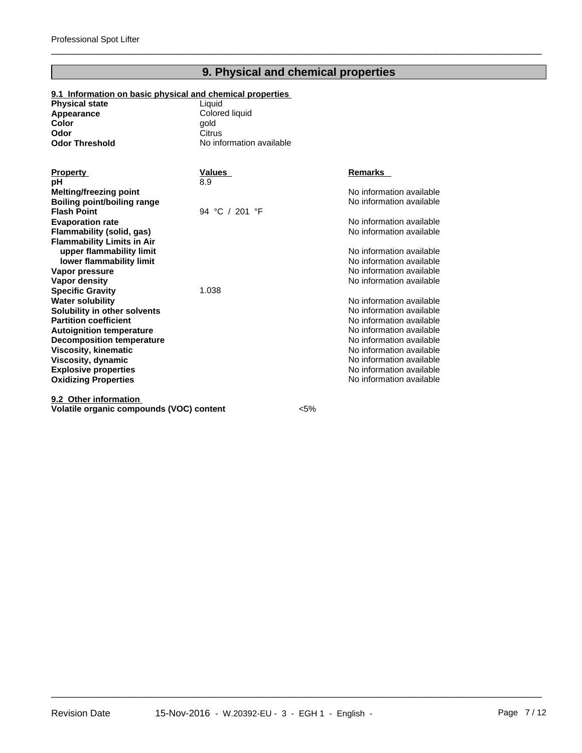## **9. Physical and chemical properties**

 $\overline{\phantom{a}}$  ,  $\overline{\phantom{a}}$  ,  $\overline{\phantom{a}}$  ,  $\overline{\phantom{a}}$  ,  $\overline{\phantom{a}}$  ,  $\overline{\phantom{a}}$  ,  $\overline{\phantom{a}}$  ,  $\overline{\phantom{a}}$  ,  $\overline{\phantom{a}}$  ,  $\overline{\phantom{a}}$  ,  $\overline{\phantom{a}}$  ,  $\overline{\phantom{a}}$  ,  $\overline{\phantom{a}}$  ,  $\overline{\phantom{a}}$  ,  $\overline{\phantom{a}}$  ,  $\overline{\phantom{a}}$ 

#### **9.1 Information on basic physical and chemical properties**

| <b>Physical state</b> | Liauid                   |
|-----------------------|--------------------------|
| Appearance            | Colored liquid           |
| Color                 | aold                     |
| Odor                  | Citrus                   |
| <b>Odor Threshold</b> | No information available |

| <b>Property</b>                   | Values         | <b>Remarks</b>           |
|-----------------------------------|----------------|--------------------------|
| рH                                | 8.9            |                          |
| <b>Melting/freezing point</b>     |                | No information available |
| Boiling point/boiling range       |                | No information available |
| <b>Flash Point</b>                | 94 °C / 201 °F |                          |
| <b>Evaporation rate</b>           |                | No information available |
| Flammability (solid, gas)         |                | No information available |
| <b>Flammability Limits in Air</b> |                |                          |
| upper flammability limit          |                | No information available |
| lower flammability limit          |                | No information available |
| Vapor pressure                    |                | No information available |
| Vapor density                     |                | No information available |
| <b>Specific Gravity</b>           | 1.038          |                          |
| <b>Water solubility</b>           |                | No information available |
| Solubility in other solvents      |                | No information available |
| <b>Partition coefficient</b>      |                | No information available |
| <b>Autoignition temperature</b>   |                | No information available |
| <b>Decomposition temperature</b>  |                | No information available |
| <b>Viscosity, kinematic</b>       |                | No information available |
| Viscosity, dynamic                |                | No information available |
| <b>Explosive properties</b>       |                | No information available |
| <b>Oxidizing Properties</b>       |                | No information available |
| 9.2 Other information             |                |                          |

**Volatile organic compounds (VOC) content** <5%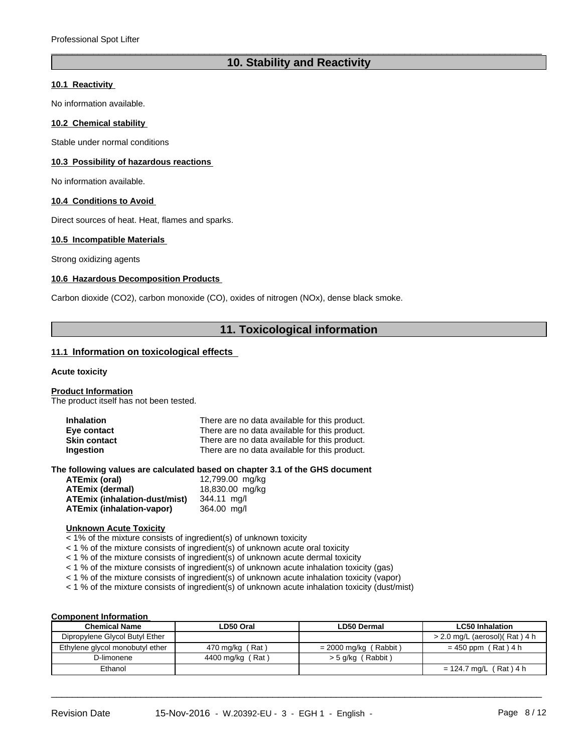## **10. Stability and Reactivity**

 $\overline{\phantom{a}}$  ,  $\overline{\phantom{a}}$  ,  $\overline{\phantom{a}}$  ,  $\overline{\phantom{a}}$  ,  $\overline{\phantom{a}}$  ,  $\overline{\phantom{a}}$  ,  $\overline{\phantom{a}}$  ,  $\overline{\phantom{a}}$  ,  $\overline{\phantom{a}}$  ,  $\overline{\phantom{a}}$  ,  $\overline{\phantom{a}}$  ,  $\overline{\phantom{a}}$  ,  $\overline{\phantom{a}}$  ,  $\overline{\phantom{a}}$  ,  $\overline{\phantom{a}}$  ,  $\overline{\phantom{a}}$ 

#### **10.1 Reactivity**

No information available.

#### **10.2 Chemical stability**

Stable under normal conditions

#### **10.3 Possibility of hazardous reactions**

No information available.

#### **10.4 Conditions to Avoid**

Direct sources of heat. Heat, flames and sparks.

#### **10.5 Incompatible Materials**

Strong oxidizing agents

#### **10.6 Hazardous Decomposition Products**

Carbon dioxide (CO2), carbon monoxide (CO), oxides of nitrogen (NOx), dense black smoke.

### **11. Toxicological information**

#### **11.1 Information on toxicological effects**

#### **Acute toxicity**

**Product Information**

The product itself has not been tested.

| <b>Inhalation</b>   | There are no data available for this product. |
|---------------------|-----------------------------------------------|
| Eye contact         | There are no data available for this product. |
| <b>Skin contact</b> | There are no data available for this product. |
| Ingestion           | There are no data available for this product. |

**The following values are calculated based on chapter 3.1 of the GHS document**

| <b>ATEmix (oral)</b>          | 12,799.00 mg/kg |
|-------------------------------|-----------------|
| <b>ATEmix (dermal)</b>        | 18,830.00 mg/kg |
| ATEmix (inhalation-dust/mist) | 344.11 ma/l     |
| ATEmix (inhalation-vapor)     | 364.00 mg/l     |

#### **Unknown Acute Toxicity**

< 1% of the mixture consists of ingredient(s) of unknown toxicity

< 1 % of the mixture consists of ingredient(s) of unknown acute oral toxicity

< 1 % of the mixture consists of ingredient(s) of unknown acute dermal toxicity

< 1 % of the mixture consists of ingredient(s) of unknown acute inhalation toxicity (gas)

< 1 % of the mixture consists of ingredient(s) of unknown acute inhalation toxicity (vapor)

< 1 % of the mixture consists of ingredient(s) of unknown acute inhalation toxicity (dust/mist)

#### **Component Information**

| <b>Chemical Name</b>            | ∟D50 Oral        | <b>LD50 Dermal</b>      | <b>LC50 Inhalation</b>          |
|---------------------------------|------------------|-------------------------|---------------------------------|
| Dipropylene Glycol Butyl Ether  |                  |                         | $>$ 2.0 mg/L (aerosol)(Rat) 4 h |
| Ethylene glycol monobutyl ether | 470 mg/kg (Rat)  | = 2000 mg/kg ( Rabbit ) | $= 450$ ppm (Rat) 4 h           |
| D-limonene                      | 4400 mg/kg (Rat) | $>$ 5 g/kg (Rabbit)     |                                 |
| Ethanol                         |                  |                         | = 124.7 mg/L (Rat) 4 h          |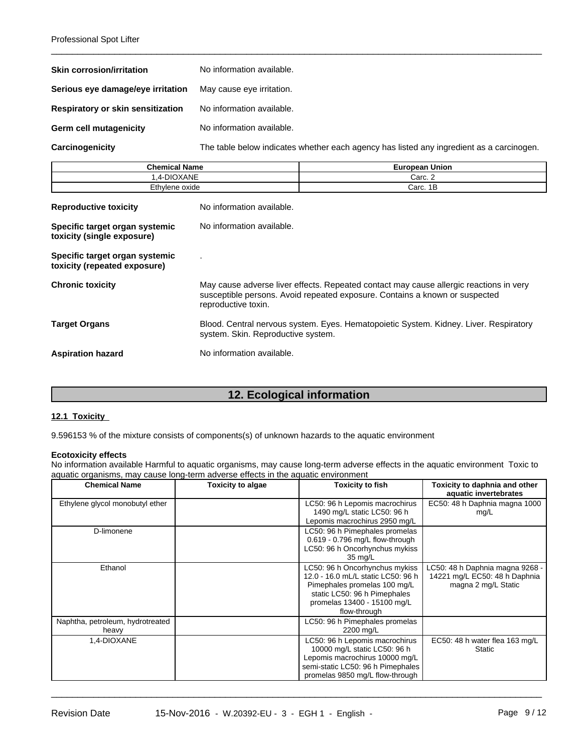| <b>Skin corrosion/irritation</b>  | No information available.                                                                |
|-----------------------------------|------------------------------------------------------------------------------------------|
| Serious eye damage/eye irritation | May cause eye irritation.                                                                |
| Respiratory or skin sensitization | No information available.                                                                |
| <b>Germ cell mutagenicity</b>     | No information available.                                                                |
| Carcinogenicity                   | The table below indicates whether each agency has listed any ingredient as a carcinogen. |

 $\overline{\phantom{a}}$  ,  $\overline{\phantom{a}}$  ,  $\overline{\phantom{a}}$  ,  $\overline{\phantom{a}}$  ,  $\overline{\phantom{a}}$  ,  $\overline{\phantom{a}}$  ,  $\overline{\phantom{a}}$  ,  $\overline{\phantom{a}}$  ,  $\overline{\phantom{a}}$  ,  $\overline{\phantom{a}}$  ,  $\overline{\phantom{a}}$  ,  $\overline{\phantom{a}}$  ,  $\overline{\phantom{a}}$  ,  $\overline{\phantom{a}}$  ,  $\overline{\phantom{a}}$  ,  $\overline{\phantom{a}}$ 

| <b>Chemical Name</b> | <b>Union</b><br>European |
|----------------------|--------------------------|
| .4-DIOXANE           | Carc. 2                  |
| Ethylene oxide<br>.  | 1Б<br>Carc.<br>.         |

| <b>Reproductive toxicity</b>                                   | No information available.                                                                                                                                                                    |
|----------------------------------------------------------------|----------------------------------------------------------------------------------------------------------------------------------------------------------------------------------------------|
| Specific target organ systemic<br>toxicity (single exposure)   | No information available.                                                                                                                                                                    |
| Specific target organ systemic<br>toxicity (repeated exposure) |                                                                                                                                                                                              |
| <b>Chronic toxicity</b>                                        | May cause adverse liver effects. Repeated contact may cause allergic reactions in very<br>susceptible persons. Avoid repeated exposure. Contains a known or suspected<br>reproductive toxin. |
| <b>Target Organs</b>                                           | Blood. Central nervous system. Eyes. Hematopoietic System. Kidney. Liver. Respiratory<br>system. Skin. Reproductive system.                                                                  |
| <b>Aspiration hazard</b>                                       | No information available.                                                                                                                                                                    |

## **12. Ecological information**

#### **12.1 Toxicity**

9.596153 % of the mixture consists of components(s) of unknown hazards to the aquatic environment

#### **Ecotoxicity effects**

No information available Harmful to aquatic organisms, may cause long-term adverse effects in the aquatic environment Toxic to aquatic organisms, may cause long-term adverse effects in the aquatic environment

| <b>Chemical Name</b>                      | <b>Toxicity to algae</b> | <b>Toxicity to fish</b>                                                                                                                                                             | Toxicity to daphnia and other<br>aquatic invertebrates                                  |
|-------------------------------------------|--------------------------|-------------------------------------------------------------------------------------------------------------------------------------------------------------------------------------|-----------------------------------------------------------------------------------------|
| Ethylene glycol monobutyl ether           |                          | LC50: 96 h Lepomis macrochirus<br>1490 mg/L static LC50: 96 h<br>Lepomis macrochirus 2950 mg/L                                                                                      | EC50: 48 h Daphnia magna 1000<br>mg/L                                                   |
| D-limonene                                |                          | LC50: 96 h Pimephales promelas<br>0.619 - 0.796 mg/L flow-through<br>LC50: 96 h Oncorhynchus mykiss<br>35 mg/L                                                                      |                                                                                         |
| Ethanol                                   |                          | LC50: 96 h Oncorhynchus mykiss<br>12.0 - 16.0 mL/L static LC50: 96 h<br>Pimephales promelas 100 mg/L<br>static LC50: 96 h Pimephales<br>promelas 13400 - 15100 mg/L<br>flow-through | LC50: 48 h Daphnia magna 9268 -<br>14221 mg/L EC50: 48 h Daphnia<br>magna 2 mg/L Static |
| Naphtha, petroleum, hydrotreated<br>heavy |                          | LC50: 96 h Pimephales promelas<br>2200 mg/L                                                                                                                                         |                                                                                         |
| 1,4-DIOXANE                               |                          | LC50: 96 h Lepomis macrochirus<br>10000 mg/L static LC50: 96 h<br>Lepomis macrochirus 10000 mg/L<br>semi-static LC50: 96 h Pimephales<br>promelas 9850 mg/L flow-through            | EC50: 48 h water flea 163 mg/L<br>Static                                                |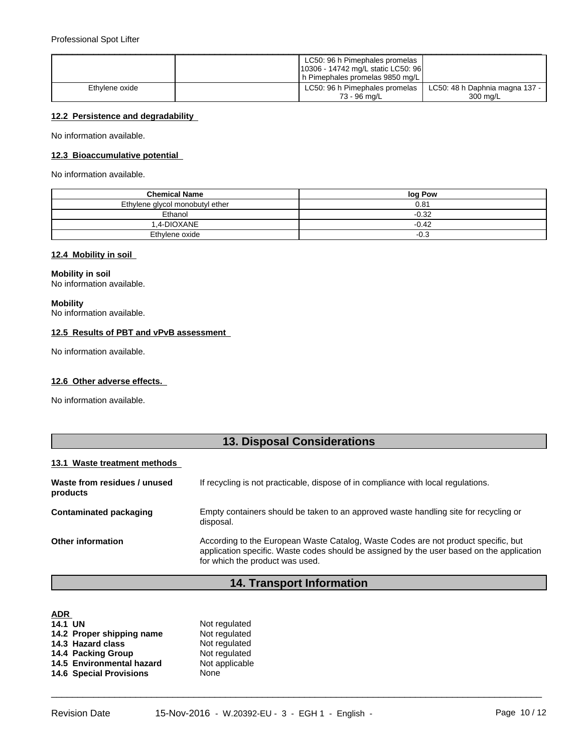|                | LC50: 96 h Pimephales promelas     |                                |
|----------------|------------------------------------|--------------------------------|
|                | 10306 - 14742 mg/L static LC50: 96 |                                |
|                | h Pimephales promelas 9850 mg/L    |                                |
| Ethylene oxide | LC50: 96 h Pimephales promelas     | LC50: 48 h Daphnia magna 137 - |
|                | 73 - 96 ma/L                       | 300 ma/L                       |

#### **12.2 Persistence and degradability**

No information available.

#### **12.3 Bioaccumulative potential**

No information available.

| <b>Chemical Name</b>            | log Pow |
|---------------------------------|---------|
| Ethylene glycol monobutyl ether | 0.81    |
| Ethanol                         | $-0.32$ |
| 1.4-DIOXANE                     | $-0.42$ |
| Ethylene oxide                  | $-0.3$  |

#### **12.4 Mobility in soil**

## **Mobility in soil**

No information available.

#### **Mobility**

No information available.

#### **12.5 Results of PBT and vPvB assessment**

No information available.

#### **12.6 Other adverse effects.**

No information available.

## **13. Disposal Considerations**

#### **13.1 Waste treatment methods**

| Waste from residues / unused<br>products | If recycling is not practicable, dispose of in compliance with local regulations.                                                                                                                                  |
|------------------------------------------|--------------------------------------------------------------------------------------------------------------------------------------------------------------------------------------------------------------------|
| Contaminated packaging                   | Empty containers should be taken to an approved waste handling site for recycling or<br>disposal.                                                                                                                  |
| <b>Other information</b>                 | According to the European Waste Catalog, Waste Codes are not product specific, but<br>application specific. Waste codes should be assigned by the user based on the application<br>for which the product was used. |

## **14. Transport Information**

| <b>ADR</b>                     |                |
|--------------------------------|----------------|
| <b>14.1 UN</b>                 | Not regulated  |
| 14.2 Proper shipping name      | Not regulated  |
| 14.3 Hazard class              | Not regulated  |
| 14.4 Packing Group             | Not regulated  |
| 14.5 Environmental hazard      | Not applicable |
| <b>14.6 Special Provisions</b> | None           |
|                                |                |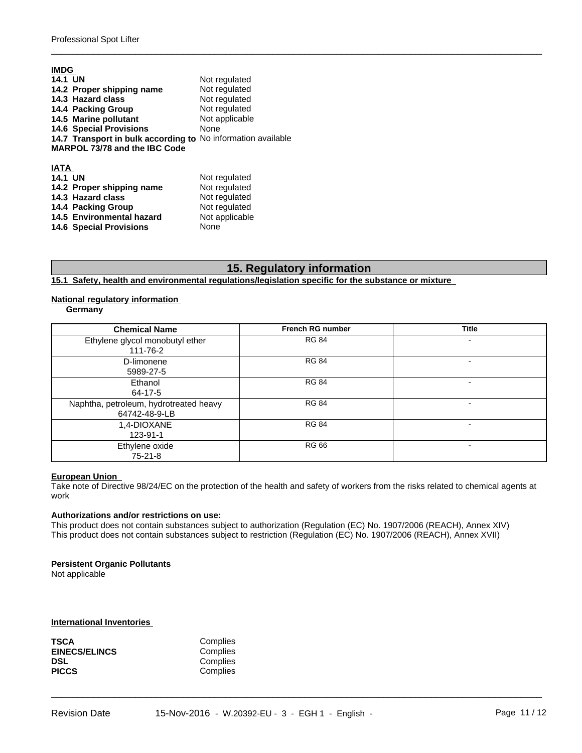| <b>IMDG</b>                                                  |                |
|--------------------------------------------------------------|----------------|
| <b>14.1 UN</b>                                               | Not regulated  |
| 14.2 Proper shipping name                                    | Not regulated  |
| 14.3 Hazard class                                            | Not regulated  |
| 14.4 Packing Group                                           | Not regulated  |
| 14.5 Marine pollutant                                        | Not applicable |
| <b>14.6 Special Provisions</b>                               | None           |
| 14.7 Transport in bulk according to No information available |                |
| MARPOL 73/78 and the IBC Code                                |                |
|                                                              |                |
| <b>IATA</b>                                                  |                |
| <b>14.1 UN</b>                                               | Not regulated  |
| 14.2 Proper shipping name                                    | Not regulated  |
| 14.3 Hazard class                                            | Not regulated  |
| 14.4 Packing Group                                           | Not regulated  |
| 14.5 Environmental hazard                                    | Not applicable |

**14.6 Special Provisions** None

## **15. Regulatory information**

 $\overline{\phantom{a}}$  ,  $\overline{\phantom{a}}$  ,  $\overline{\phantom{a}}$  ,  $\overline{\phantom{a}}$  ,  $\overline{\phantom{a}}$  ,  $\overline{\phantom{a}}$  ,  $\overline{\phantom{a}}$  ,  $\overline{\phantom{a}}$  ,  $\overline{\phantom{a}}$  ,  $\overline{\phantom{a}}$  ,  $\overline{\phantom{a}}$  ,  $\overline{\phantom{a}}$  ,  $\overline{\phantom{a}}$  ,  $\overline{\phantom{a}}$  ,  $\overline{\phantom{a}}$  ,  $\overline{\phantom{a}}$ 

**15.1 Safety, health and environmental regulations/legislation specific for the substance or mixture** 

#### **National regulatory information**

**Germany**

| <b>Chemical Name</b>                                    | <b>French RG number</b> | <b>Title</b> |
|---------------------------------------------------------|-------------------------|--------------|
| Ethylene glycol monobutyl ether<br>111-76-2             | <b>RG 84</b>            |              |
| D-limonene<br>5989-27-5                                 | <b>RG 84</b>            |              |
| Ethanol<br>64-17-5                                      | <b>RG 84</b>            |              |
| Naphtha, petroleum, hydrotreated heavy<br>64742-48-9-LB | <b>RG 84</b>            |              |
| 1,4-DIOXANE<br>123-91-1                                 | <b>RG 84</b>            |              |
| Ethylene oxide<br>$75-21-8$                             | <b>RG 66</b>            |              |

#### **European Union**

Take note of Directive 98/24/EC on the protection of the health and safety of workers from the risks related to chemical agents at work

 $\overline{\phantom{a}}$  ,  $\overline{\phantom{a}}$  ,  $\overline{\phantom{a}}$  ,  $\overline{\phantom{a}}$  ,  $\overline{\phantom{a}}$  ,  $\overline{\phantom{a}}$  ,  $\overline{\phantom{a}}$  ,  $\overline{\phantom{a}}$  ,  $\overline{\phantom{a}}$  ,  $\overline{\phantom{a}}$  ,  $\overline{\phantom{a}}$  ,  $\overline{\phantom{a}}$  ,  $\overline{\phantom{a}}$  ,  $\overline{\phantom{a}}$  ,  $\overline{\phantom{a}}$  ,  $\overline{\phantom{a}}$ 

#### **Authorizations and/or restrictions on use:**

This product does not contain substances subject to authorization (Regulation (EC) No. 1907/2006 (REACH), Annex XIV) This product does not contain substances subject to restriction (Regulation (EC) No. 1907/2006 (REACH), Annex XVII)

#### **Persistent Organic Pollutants** Not applicable

**International Inventories** 

| TSCA                 | Complies |  |
|----------------------|----------|--|
| <b>EINECS/ELINCS</b> | Complies |  |
| DSL                  | Complies |  |
| PICCS                | Complies |  |